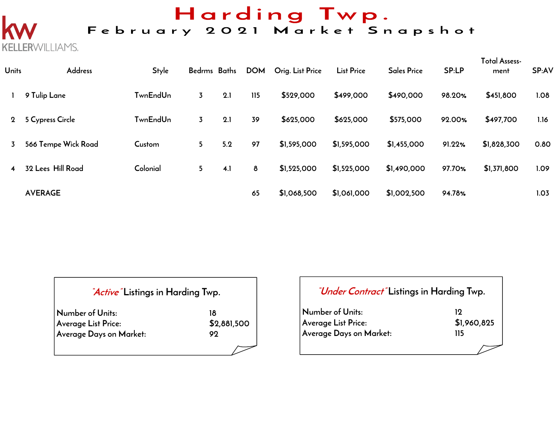# Harding Twp.

## February 2021 Market Snapshot

| <b>Units</b>   | <b>Address</b>      | <b>Style</b>    | Bedrms Baths   |     | <b>DOM</b> | Orig. List Price | <b>List Price</b> | <b>Sales Price</b> | SP:LP  | <b>Total Assess-</b><br>ment | SP:AV |
|----------------|---------------------|-----------------|----------------|-----|------------|------------------|-------------------|--------------------|--------|------------------------------|-------|
|                | 9 Tulip Lane        | <b>TwnEndUn</b> | $\overline{3}$ | 2.1 | 115        | \$529,000        | \$499,000         | \$490,000          | 98.20% | \$451,800                    | 1.08  |
| $2^{\circ}$    | 5 Cypress Circle    | <b>TwnEndUn</b> | $\overline{3}$ | 2.1 | 39         | \$625,000        | \$625,000         | \$575,000          | 92.00% | \$497,700                    | 1.16  |
| 3              | 566 Tempe Wick Road | Custom          | 5              | 5.2 | 97         | \$1,595,000      | \$1,595,000       | \$1,455,000        | 91.22% | \$1,828,300                  | 0.80  |
| $\overline{4}$ | 32 Lees Hill Road   | Colonial        | 5 <sup>5</sup> | 4.1 | 8          | \$1,525,000      | \$1,525,000       | \$1,490,000        | 97.70% | \$1,371,800                  | 1.09  |
|                | <b>AVERAGE</b>      |                 |                |     | 65         | \$1,068,500      | \$1,061,000       | \$1,002,500        | 94.78% |                              | 1.03  |

| <i>Active</i> Listings in Harding Twp. |             |  |  |  |  |  |  |
|----------------------------------------|-------------|--|--|--|--|--|--|
| Number of Units:                       | 18          |  |  |  |  |  |  |
| Average List Price:                    | \$2,881,500 |  |  |  |  |  |  |
| Average Days on Market:                | 99          |  |  |  |  |  |  |
|                                        |             |  |  |  |  |  |  |

**KELLERWILLIAMS.** 

|                                                                    | <i>"Under Contract"</i> Listings in Harding Twp. |  |  |  |  |  |  |  |
|--------------------------------------------------------------------|--------------------------------------------------|--|--|--|--|--|--|--|
| Number of Units:<br>Average List Price:<br>Average Days on Market: | 19<br>\$1,960,825<br>115                         |  |  |  |  |  |  |  |
|                                                                    |                                                  |  |  |  |  |  |  |  |